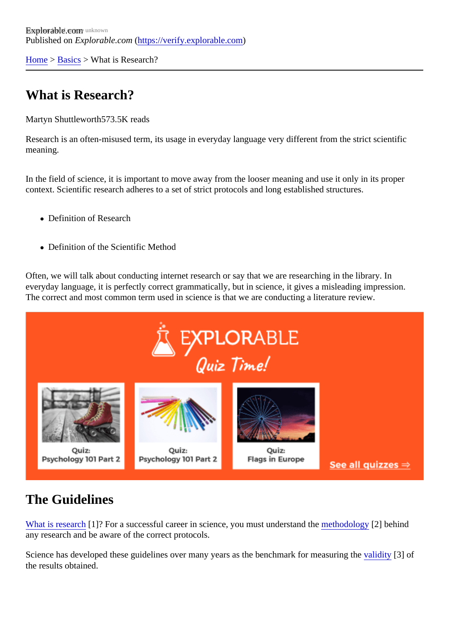[Home](https://verify.explorable.com/) > [Basics](https://verify.explorable.com/) > What is Research?

# What is Research?

Martyn Shuttlewort<sup>573.5K</sup> reads

Research is an often-misused term, its usage in everyday language very different from the strict scientific meaning.

In the field of science, it is important to move away from the looser meaning and use it only in its proper context. Scientific research adheres to a set of strict protocols and long established structures.

- Definition of Research
- Definition of the Scientific Method

Often, we will talk about conducting internet research or say that we are researching in the library. In everyday language, it is perfectly correct grammatically, but in science, it gives a misleading impression. The correct and most common term used in science is that we are conducting a literature review.

## The Guidelines

[What is researc](http://en.wikipedia.org/wiki/Research)h [? For a successful career in science, you must understarmet the dology[2] behind any research and be aware of the correct protocols.

Science has developed these guidelines over many years as the benchmark for mea[suring t](https://verify.explorable.com/validity-and-reliability)he of the results obtained.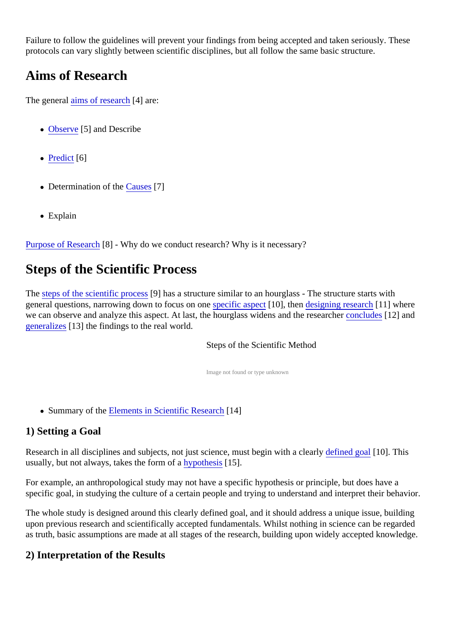Failure to follow the guidelines will prevent your findings from being accepted and taken seriously. These protocols can vary slightly between scientific disciplines, but all follow the same basic structure.

# Aims of Research

The generatims of researc<sup>[4]</sup> are:

- [Observe](https://verify.explorable.com/observational-study)<sup>[5]</sup> and Describe
- [Predic](https://verify.explorable.com/prediction-in-research)t[6]
- Determination of th[e Cause](https://verify.explorable.com/cause-and-effect) \$7]
- Explain

[Purpose of Resear](https://verify.explorable.com/purpose-of-research) $[8]$  - Why do we conduct research? Why is it necessary?

## Steps of the Scientific Process

The [steps of the scientific proce](https://verify.explorable.com/steps-of-the-scientific-method)<sup>[93]</sup> has a structure similar to an hourglass - The structure starts with general questions, narrowing down to focus on opterific aspect 10], the[n designing researc](https://verify.explorable.com/research-designs)h 1] where we can observe and analyze this aspect. At last, the hourglass widens and the r[esearcher](https://verify.explorable.com/drawing-conclusions) [12] and [generalize](https://verify.explorable.com/what-is-generalization)\$13] the findings to the real world.

Steps of the Scientific Method

Image not found or type unknown

- Summary of th[e Elements in Scientific Resear](https://verify.explorable.com/scientific-elements)ch 4]
- 1) Setting a Goal

Research in all disciplines and subjects, not just science, must begin with a clearly goal [10]. This usually, but not always, takes the form drim othesis 15].

For example, an anthropological study may not have a specific hypothesis or principle, but does have a specific goal, in studying the culture of a certain people and trying to understand and interpret their behavi

The whole study is designed around this clearly defined goal, and it should address a unique issue, buildir upon previous research and scientifically accepted fundamentals. Whilst nothing in science can be regard as truth, basic assumptions are made at all stages of the research, building upon widely accepted knowled

### 2) Interpretation of the Results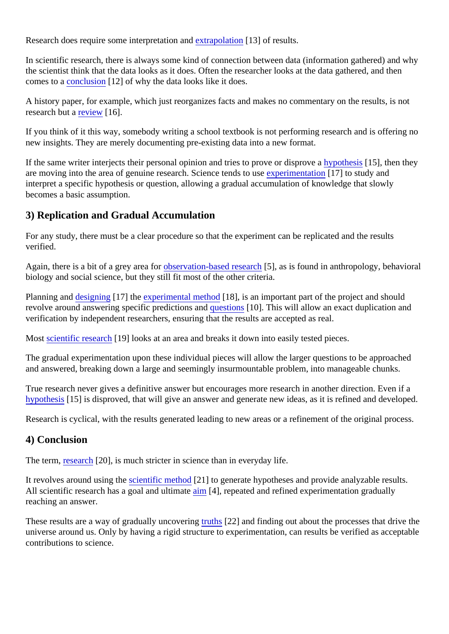Research does require some interpretation and polation [13] of results.

In scientific research, there is always some kind of connection between data (information gathered) and w the scientist think that the data looks as it does. Often the researcher looks at the data gathered, and then comes to [a conclusion](https://verify.explorable.com/drawing-conclusions) [12] of why the data looks like it does.

A history paper, for example, which just reorganizes facts and makes no commentary on the results, is not research but **review**[16].

If you think of it this way, somebody writing a school textbook is not performing research and is offering no new insights. They are merely documenting pre-existing data into a new format.

If the same writer interjects their personal opinion and tries to prove or disprove thesis<sup>15</sup>], then they are moving into the area of genuine research. Science tendsetopes inentation[17] to study and interpret a specific hypothesis or question, allowing a gradual accumulation of knowledge that slowly becomes a basic assumption.

### 3) Replication and Gradual Accumulation

For any study, there must be a clear procedure so that the experiment can be replicated and the results verified.

Again, there is a bit of a grey area torservation-based researoh, as is found in anthropology, behavioral biology and social science, but they still fit most of the other criteria.

Planning an[d designing](https://verify.explorable.com/conducting-an-experiment) 17] the [experimental metho](https://verify.explorable.com/experimental-research)d 8], is an important part of the project and should revolve around answering specific predictions **and strips** 10]. This will allow an exact duplication and verification by independent researchers, ensuring that the results are accepted as real.

Most [scientific researc](https://verify.explorable.com/what-is-research)h[19] looks at an area and breaks it down into easily tested pieces.

The gradual experimentation upon these individual pieces will allow the larger questions to be approached and answered, breaking down a large and seemingly insurmountable problem, into manageable chunks.

True research never gives a definitive answer but encourages more research in another direction. Even if [hypothesi](https://verify.explorable.com/research-hypothesis)s<sup>[15]</sup> is disproved, that will give an answer and generate new ideas, as it is refined and develope

Research is cyclical, with the results generated leading to new areas or a refinement of the original proces

#### 4) Conclusion

The term[, research](https://verify.explorable.com/definition-of-research)[20], is much stricter in science than in everyday life.

It revolves around using the seithtic method<sup>[21]</sup> to generate hypotheses and provide analyzable results. All scientific research has a goal and ulti[mate](https://verify.explorable.com/aims-of-research) [4], repeated and refined experimentation gradually reaching an answer.

These results are a way of gradually uncovertion that finding out about the processes that drive the universe around us. Only by having a rigid structure to experimentation, can results be verified as accepta contributions to science.